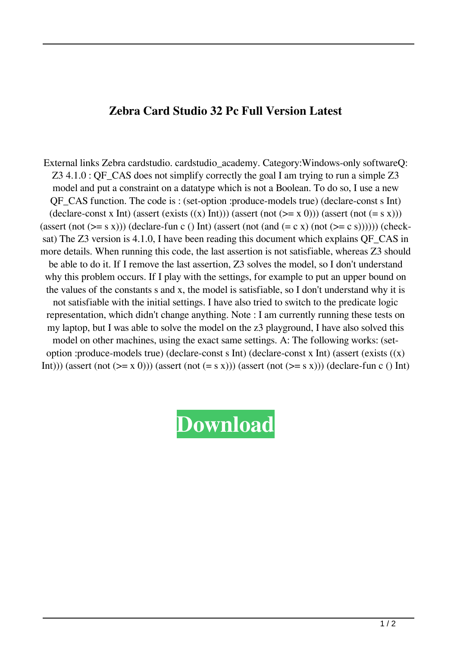## **Zebra Card Studio 32 Pc Full Version Latest**

External links Zebra cardstudio. cardstudio\_academy. Category:Windows-only softwareQ: Z3 4.1.0 : QF\_CAS does not simplify correctly the goal I am trying to run a simple Z3 model and put a constraint on a datatype which is not a Boolean. To do so, I use a new QF\_CAS function. The code is : (set-option :produce-models true) (declare-const s Int) (declare-const x Int) (assert (exists  $((x)$  Int))) (assert (not  $(>= x 0)$ )) (assert (not  $(= s x)$ )) (assert (not  $(>= s x))$ ) (declare-fun c () Int) (assert (not (and  $(= c x)$  (not  $(>= c s))$ )))) (checksat) The Z3 version is 4.1.0, I have been reading this document which explains QF\_CAS in more details. When running this code, the last assertion is not satisfiable, whereas Z3 should be able to do it. If I remove the last assertion, Z3 solves the model, so I don't understand why this problem occurs. If I play with the settings, for example to put an upper bound on the values of the constants s and x, the model is satisfiable, so I don't understand why it is not satisfiable with the initial settings. I have also tried to switch to the predicate logic representation, which didn't change anything. Note : I am currently running these tests on my laptop, but I was able to solve the model on the z3 playground, I have also solved this model on other machines, using the exact same settings. A: The following works: (setoption :produce-models true) (declare-const s Int) (declare-const x Int) (assert (exists  $((x))$ Int))) (assert (not  $(>= x 0)$ )) (assert (not  $(= s x)$ )) (assert (not  $(>= s x)$ )) (declare-fun c () Int)